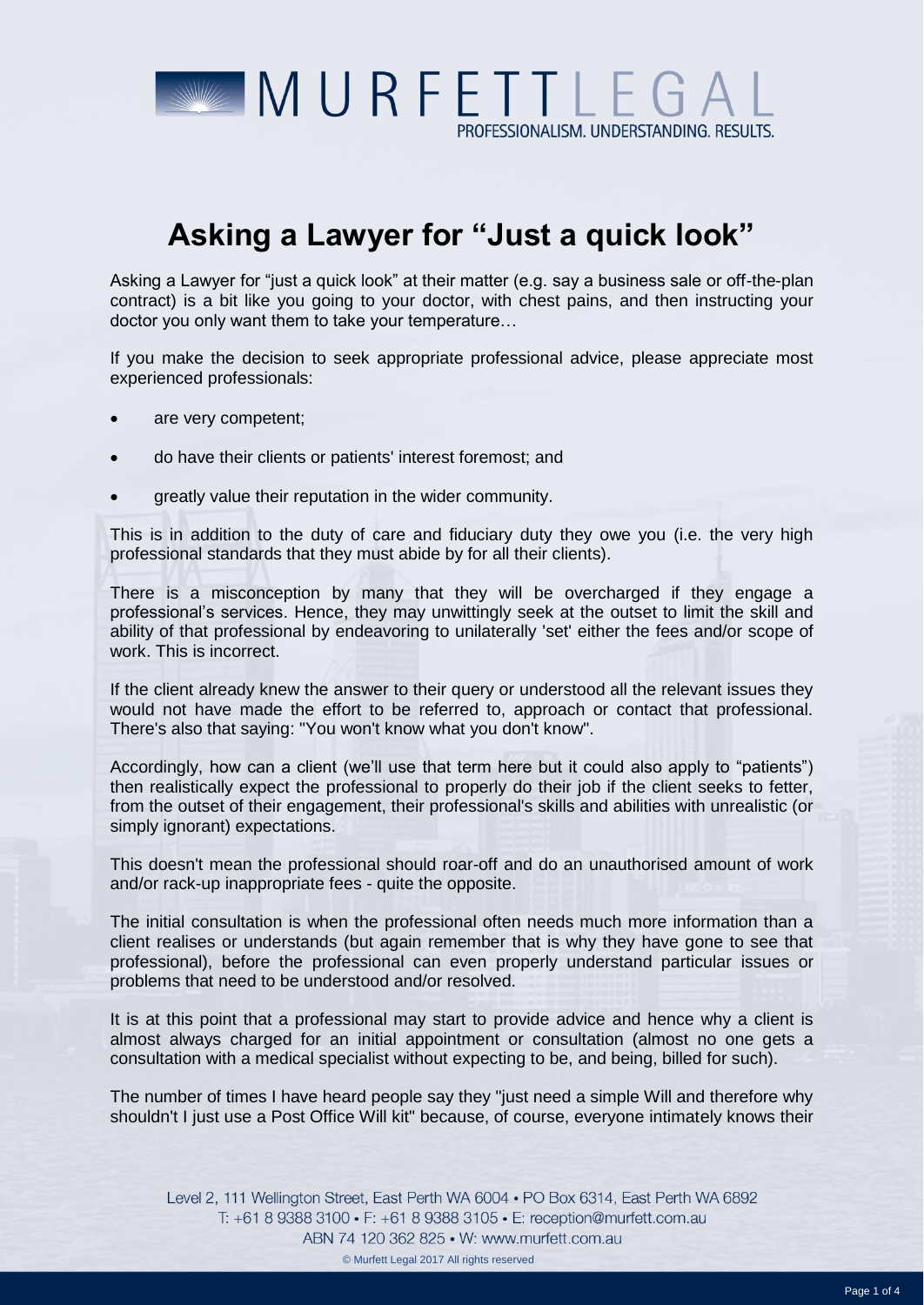

## **Asking a Lawyer for "Just a quick look"**

Asking a Lawyer for "just a quick look" at their matter (e.g. say a business sale or off-the-plan contract) is a bit like you going to your doctor, with chest pains, and then instructing your doctor you only want them to take your temperature…

If you make the decision to seek appropriate professional advice, please appreciate most experienced professionals:

- are very competent;
- do have their clients or patients' interest foremost; and
- greatly value their reputation in the wider community.

This is in addition to the duty of care and fiduciary duty they owe you (i.e. the very high professional standards that they must abide by for all their clients).

There is a misconception by many that they will be overcharged if they engage a professional's services. Hence, they may unwittingly seek at the outset to limit the skill and ability of that professional by endeavoring to unilaterally 'set' either the fees and/or scope of work. This is incorrect.

If the client already knew the answer to their query or understood all the relevant issues they would not have made the effort to be referred to, approach or contact that professional. There's also that saying: "You won't know what you don't know".

Accordingly, how can a client (we'll use that term here but it could also apply to "patients") then realistically expect the professional to properly do their job if the client seeks to fetter, from the outset of their engagement, their professional's skills and abilities with unrealistic (or simply ignorant) expectations.

This doesn't mean the professional should roar-off and do an unauthorised amount of work and/or rack-up inappropriate fees - quite the opposite.

The initial consultation is when the professional often needs much more information than a client realises or understands (but again remember that is why they have gone to see that professional), before the professional can even properly understand particular issues or problems that need to be understood and/or resolved.

It is at this point that a professional may start to provide advice and hence why a client is almost always charged for an initial appointment or consultation (almost no one gets a consultation with a medical specialist without expecting to be, and being, billed for such).

The number of times I have heard people say they "just need a simple Will and therefore why shouldn't I just use a Post Office Will kit" because, of course, everyone intimately knows their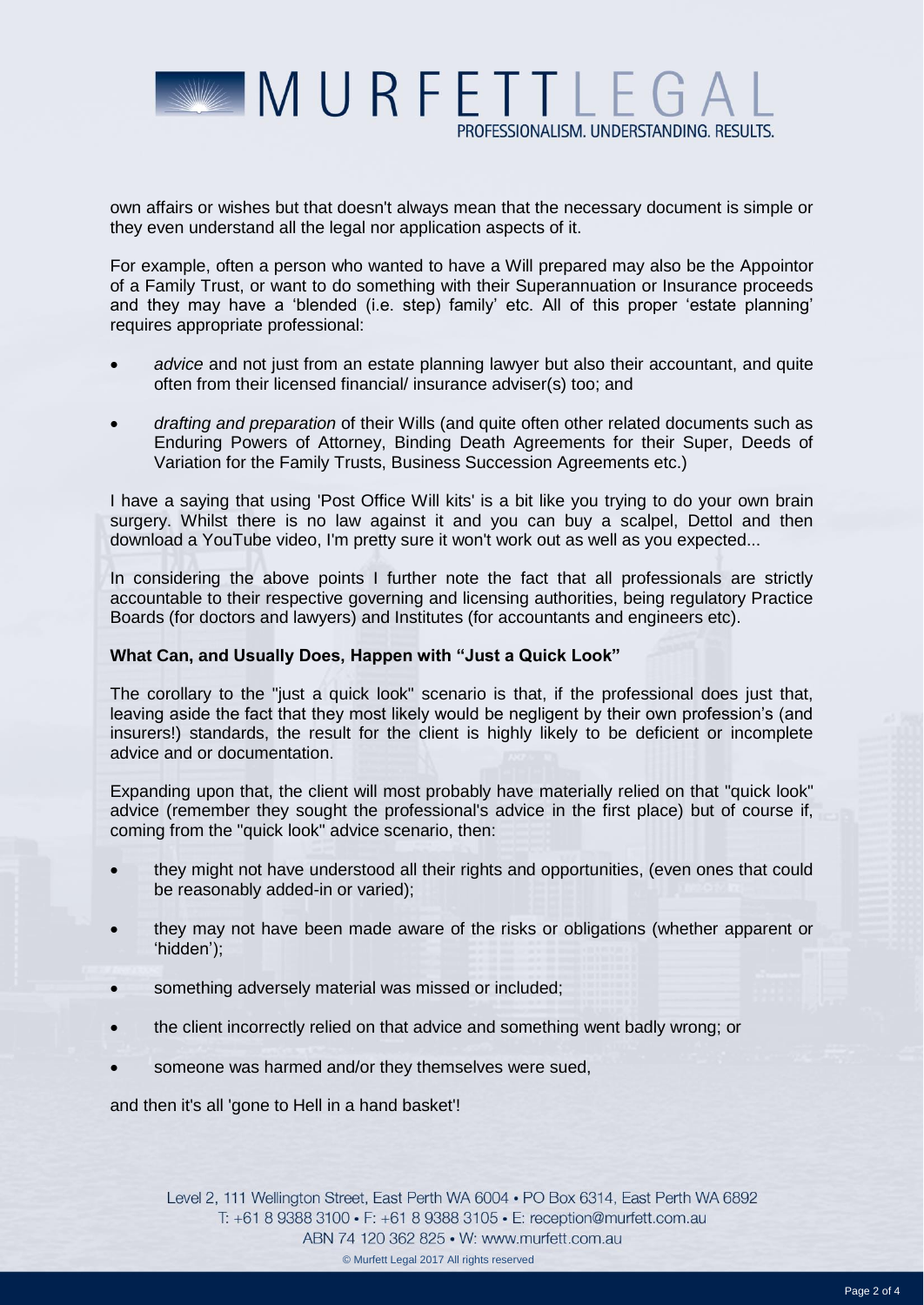

own affairs or wishes but that doesn't always mean that the necessary document is simple or they even understand all the legal nor application aspects of it.

For example, often a person who wanted to have a Will prepared may also be the Appointor of a Family Trust, or want to do something with their Superannuation or Insurance proceeds and they may have a 'blended (i.e. step) family' etc. All of this proper 'estate planning' requires appropriate professional:

- *advice* and not just from an estate planning lawyer but also their accountant, and quite often from their licensed financial/ insurance adviser(s) too; and
- *drafting and preparation* of their Wills (and quite often other related documents such as Enduring Powers of Attorney, Binding Death Agreements for their Super, Deeds of Variation for the Family Trusts, Business Succession Agreements etc.)

I have a saying that using 'Post Office Will kits' is a bit like you trying to do your own brain surgery. Whilst there is no law against it and you can buy a scalpel, Dettol and then download a YouTube video, I'm pretty sure it won't work out as well as you expected...

In considering the above points I further note the fact that all professionals are strictly accountable to their respective governing and licensing authorities, being regulatory Practice Boards (for doctors and lawyers) and Institutes (for accountants and engineers etc).

## **What Can, and Usually Does, Happen with "Just a Quick Look"**

The corollary to the "just a quick look" scenario is that, if the professional does just that, leaving aside the fact that they most likely would be negligent by their own profession's (and insurers!) standards, the result for the client is highly likely to be deficient or incomplete advice and or documentation.

Expanding upon that, the client will most probably have materially relied on that "quick look" advice (remember they sought the professional's advice in the first place) but of course if, coming from the "quick look" advice scenario, then:

- they might not have understood all their rights and opportunities, (even ones that could be reasonably added-in or varied);
- they may not have been made aware of the risks or obligations (whether apparent or 'hidden');
- something adversely material was missed or included;
- the client incorrectly relied on that advice and something went badly wrong; or
- someone was harmed and/or they themselves were sued,

and then it's all 'gone to Hell in a hand basket'!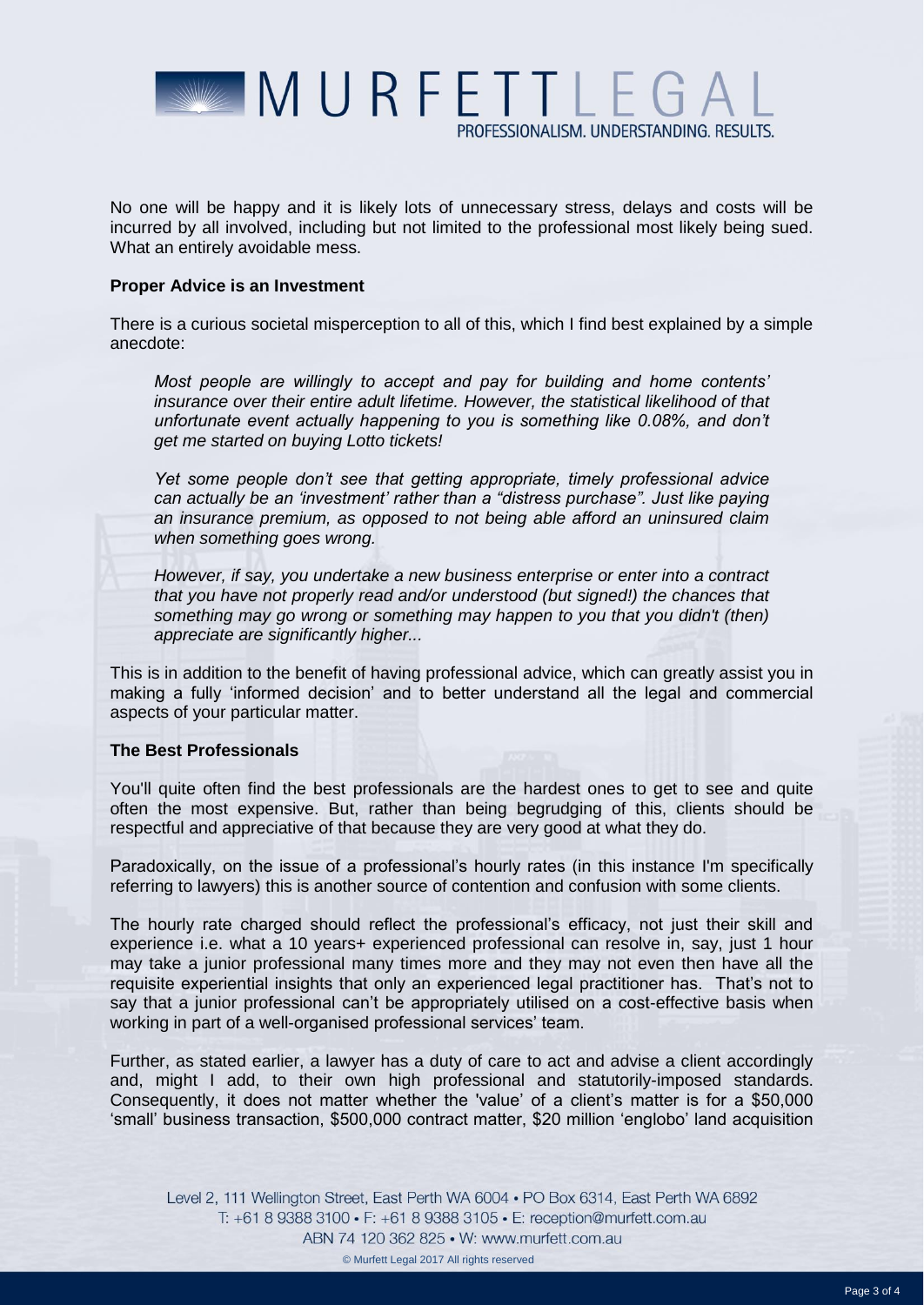

No one will be happy and it is likely lots of unnecessary stress, delays and costs will be incurred by all involved, including but not limited to the professional most likely being sued. What an entirely avoidable mess.

## **Proper Advice is an Investment**

There is a curious societal misperception to all of this, which I find best explained by a simple anecdote:

*Most people are willingly to accept and pay for building and home contents' insurance over their entire adult lifetime. However, the statistical likelihood of that unfortunate event actually happening to you is something like 0.08%, and don't get me started on buying Lotto tickets!* 

*Yet some people don't see that getting appropriate, timely professional advice can actually be an 'investment' rather than a "distress purchase". Just like paying an insurance premium, as opposed to not being able afford an uninsured claim when something goes wrong.* 

*However, if say, you undertake a new business enterprise or enter into a contract that you have not properly read and/or understood (but signed!) the chances that something may go wrong or something may happen to you that you didn't (then) appreciate are significantly higher...* 

This is in addition to the benefit of having professional advice, which can greatly assist you in making a fully 'informed decision' and to better understand all the legal and commercial aspects of your particular matter.

## **The Best Professionals**

You'll quite often find the best professionals are the hardest ones to get to see and quite often the most expensive. But, rather than being begrudging of this, clients should be respectful and appreciative of that because they are very good at what they do.

Paradoxically, on the issue of a professional's hourly rates (in this instance I'm specifically referring to lawyers) this is another source of contention and confusion with some clients.

The hourly rate charged should reflect the professional's efficacy, not just their skill and experience i.e. what a 10 years+ experienced professional can resolve in, say, just 1 hour may take a junior professional many times more and they may not even then have all the requisite experiential insights that only an experienced legal practitioner has. That's not to say that a junior professional can't be appropriately utilised on a cost-effective basis when working in part of a well-organised professional services' team.

Further, as stated earlier, a lawyer has a duty of care to act and advise a client accordingly and, might I add, to their own high professional and statutorily-imposed standards. Consequently, it does not matter whether the 'value' of a client's matter is for a \$50,000 'small' business transaction, \$500,000 contract matter, \$20 million 'englobo' land acquisition